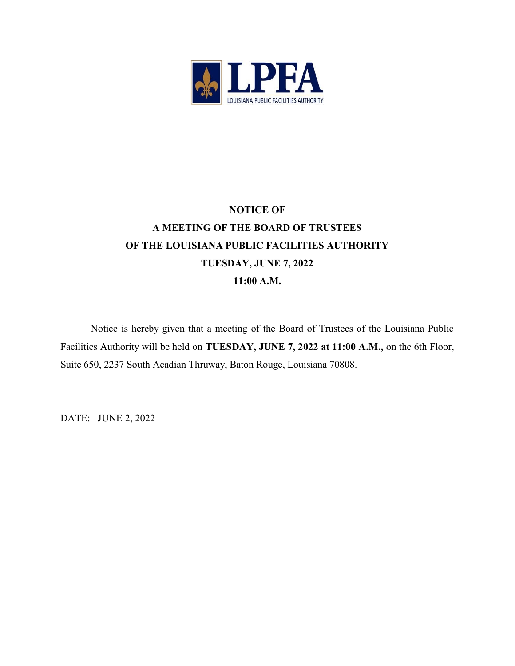

# NOTICE OF A MEETING OF THE BOARD OF TRUSTEES OF THE LOUISIANA PUBLIC FACILITIES AUTHORITY TUESDAY, JUNE 7, 2022 11:00 A.M.

Notice is hereby given that a meeting of the Board of Trustees of the Louisiana Public Facilities Authority will be held on TUESDAY, JUNE 7, 2022 at 11:00 A.M., on the 6th Floor, Suite 650, 2237 South Acadian Thruway, Baton Rouge, Louisiana 70808.

DATE: JUNE 2, 2022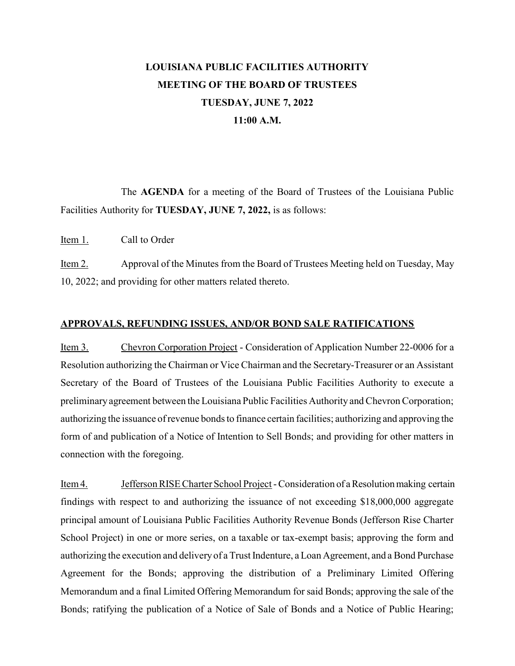## LOUISIANA PUBLIC FACILITIES AUTHORITY MEETING OF THE BOARD OF TRUSTEES TUESDAY, JUNE 7, 2022 11:00 A.M.

The AGENDA for a meeting of the Board of Trustees of the Louisiana Public Facilities Authority for TUESDAY, JUNE 7, 2022, is as follows:

Item 1. Call to Order

Item 2. Approval of the Minutes from the Board of Trustees Meeting held on Tuesday, May 10, 2022; and providing for other matters related thereto.

#### APPROVALS, REFUNDING ISSUES, AND/OR BOND SALE RATIFICATIONS

Item 3. Chevron Corporation Project - Consideration of Application Number 22-0006 for a Resolution authorizing the Chairman or Vice Chairman and the Secretary-Treasurer or an Assistant Secretary of the Board of Trustees of the Louisiana Public Facilities Authority to execute a preliminary agreement between the Louisiana Public Facilities Authority and Chevron Corporation; authorizing the issuance of revenue bonds to finance certain facilities; authorizing and approving the form of and publication of a Notice of Intention to Sell Bonds; and providing for other matters in connection with the foregoing.

Item 4. Jefferson RISE Charter School Project - Consideration of a Resolution making certain findings with respect to and authorizing the issuance of not exceeding \$18,000,000 aggregate principal amount of Louisiana Public Facilities Authority Revenue Bonds (Jefferson Rise Charter School Project) in one or more series, on a taxable or tax-exempt basis; approving the form and authorizing the execution and delivery of a Trust Indenture, a Loan Agreement, and a Bond Purchase Agreement for the Bonds; approving the distribution of a Preliminary Limited Offering Memorandum and a final Limited Offering Memorandum for said Bonds; approving the sale of the Bonds; ratifying the publication of a Notice of Sale of Bonds and a Notice of Public Hearing;